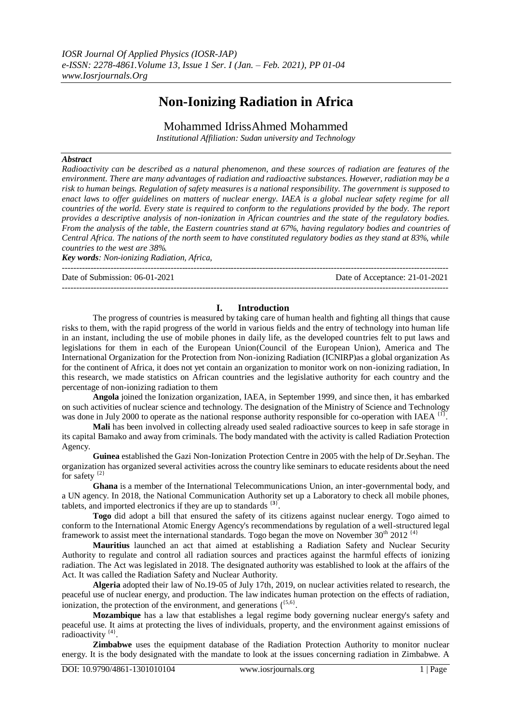# **Non-Ionizing Radiation in Africa**

Mohammed IdrissAhmed Mohammed

*Institutional Affiliation: Sudan university and Technology* 

## *Abstract*

*Radioactivity can be described as a natural phenomenon, and these sources of radiation are features of the environment. There are many advantages of radiation and radioactive substances. However, radiation may be a risk to human beings. Regulation of safety measures is a national responsibility. The government is supposed to enact laws to offer guidelines on matters of nuclear energy. IAEA is a global nuclear safety regime for all countries of the world. Every state is required to conform to the regulations provided by the body. The report provides a descriptive analysis of non-ionization in African countries and the state of the regulatory bodies. From the analysis of the table, the Eastern countries stand at 67%, having regulatory bodies and countries of Central Africa. The nations of the north seem to have constituted regulatory bodies as they stand at 83%, while countries to the west are 38%.*

*Key words: Non-ionizing Radiation, Africa,* ---------------------------------------------------------------------------------------------------------------------------------------

Date of Submission: 06-01-2021 Date of Acceptance: 21-01-2021

## **I. Introduction**

---------------------------------------------------------------------------------------------------------------------------------------

The progress of countries is measured by taking care of human health and fighting all things that cause risks to them, with the rapid progress of the world in various fields and the entry of technology into human life in an instant, including the use of mobile phones in daily life, as the developed countries felt to put laws and legislations for them in each of the European Union(Council of the European Union), America and The International Organization for the Protection from Non-ionizing Radiation (ICNIRP)as a global organization As for the continent of Africa, it does not yet contain an organization to monitor work on non-ionizing radiation, In this research, we made statistics on African countries and the legislative authority for each country and the percentage of non-ionizing radiation to them

**Angola** joined the Ionization organization, IAEA, in September 1999, and since then, it has embarked on such activities of nuclear science and technology. The designation of the Ministry of Science and Technology was done in July 2000 to operate as the national response authority responsible for co-operation with IAEA  $^{[1]}$ .

**Mali** has been involved in collecting already used sealed radioactive sources to keep in safe storage in its capital Bamako and away from criminals. The body mandated with the activity is called Radiation Protection Agency.

**Guinea** established the Gazi Non-Ionization Protection Centre in 2005 with the help of Dr.Seyhan. The organization has organized several activities across the country like seminars to educate residents about the need for safety  $\{2\}$ 

**Ghana** is a member of the International Telecommunications Union, an inter-governmental body, and a UN agency. In 2018, the National Communication Authority set up a Laboratory to check all mobile phones, tablets, and imported electronics if they are up to standards {**3**} .

**Togo** did adopt a bill that ensured the safety of its citizens against nuclear energy. Togo aimed to conform to the International Atomic Energy Agency's recommendations by regulation of a well-structured legal framework to assist meet the international standards. Togo began the move on November 30<sup>th</sup> 2012<sup>{4}</sup>

**Mauritius** launched an act that aimed at establishing a Radiation Safety and Nuclear Security Authority to regulate and control all radiation sources and practices against the harmful effects of ionizing radiation. The Act was legislated in 2018. The designated authority was established to look at the affairs of the Act. It was called the Radiation Safety and Nuclear Authority.

**Algeria** adopted their law of No.19-05 of July 17th, 2019, on nuclear activities related to research, the peaceful use of nuclear energy, and production. The law indicates human protection on the effects of radiation, ionization, the protection of the environment, and generations  $\binom{{\{5,6\}}}$ .

**Mozambique** has a law that establishes a legal regime body governing nuclear energy's safety and peaceful use. It aims at protecting the lives of individuals, property, and the environment against emissions of radioactivity<sup>{4}</sup>.

**Zimbabwe** uses the equipment database of the Radiation Protection Authority to monitor nuclear energy. It is the body designated with the mandate to look at the issues concerning radiation in Zimbabwe. A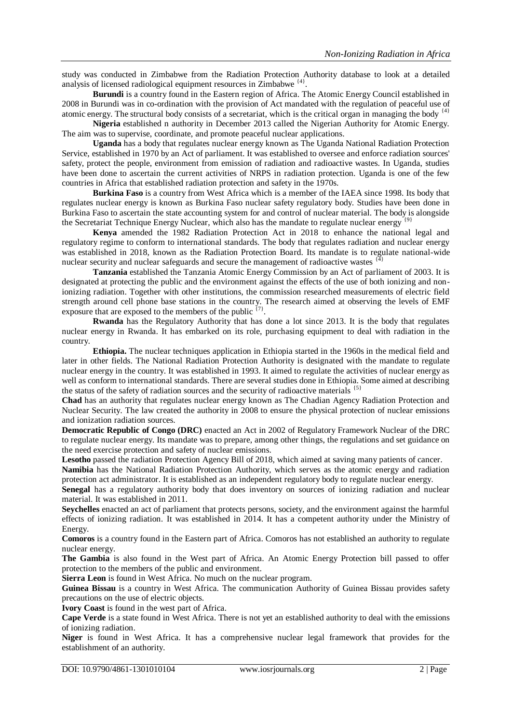study was conducted in Zimbabwe from the Radiation Protection Authority database to look at a detailed analysis of licensed radiological equipment resources in Zimbabwe<sup>{4}</sup>.

**Burundi** is a country found in the Eastern region of Africa. The Atomic Energy Council established in 2008 in Burundi was in co-ordination with the provision of Act mandated with the regulation of peaceful use of atomic energy. The structural body consists of a secretariat, which is the critical organ in managing the body  $^{4}$ 

**Nigeria** established n authority in December 2013 called the Nigerian Authority for Atomic Energy. The aim was to supervise, coordinate, and promote peaceful nuclear applications.

**Uganda** has a body that regulates nuclear energy known as The Uganda National Radiation Protection Service, established in 1970 by an Act of parliament. It was established to oversee and enforce radiation sources' safety, protect the people, environment from emission of radiation and radioactive wastes. In Uganda, studies have been done to ascertain the current activities of NRPS in radiation protection. Uganda is one of the few countries in Africa that established radiation protection and safety in the 1970s.

**Burkina Faso** is a country from West Africa which is a member of the IAEA since 1998. Its body that regulates nuclear energy is known as Burkina Faso nuclear safety regulatory body. Studies have been done in Burkina Faso to ascertain the state accounting system for and control of nuclear material. The body is alongside the Secretariat Technique Energy Nuclear, which also has the mandate to regulate nuclear energy  $\left\{\frac{9}{2}\right\}$ 

**Kenya** amended the 1982 Radiation Protection Act in 2018 to enhance the national legal and regulatory regime to conform to international standards. The body that regulates radiation and nuclear energy was established in 2018, known as the Radiation Protection Board. Its mandate is to regulate national-wide nuclear security and nuclear safeguards and secure the management of radioactive wastes  $\frac{1}{4}$ 

**Tanzania** established the Tanzania Atomic Energy Commission by an Act of parliament of 2003. It is designated at protecting the public and the environment against the effects of the use of both ionizing and nonionizing radiation. Together with other institutions, the commission researched measurements of electric field strength around cell phone base stations in the country. The research aimed at observing the levels of EMF exposure that are exposed to the members of the public  $\{7\}$ .

**Rwanda** has the Regulatory Authority that has done a lot since 2013. It is the body that regulates nuclear energy in Rwanda. It has embarked on its role, purchasing equipment to deal with radiation in the country.

**Ethiopia.** The nuclear techniques application in Ethiopia started in the 1960s in the medical field and later in other fields. The National Radiation Protection Authority is designated with the mandate to regulate nuclear energy in the country. It was established in 1993. It aimed to regulate the activities of nuclear energy as well as conform to international standards. There are several studies done in Ethiopia. Some aimed at describing the status of the safety of radiation sources and the security of radioactive materials  $\frac{1}{(5)}$ 

**Chad** has an authority that regulates nuclear energy known as The Chadian Agency Radiation Protection and Nuclear Security. The law created the authority in 2008 to ensure the physical protection of nuclear emissions and ionization radiation sources.

**Democratic Republic of Congo (DRC)** enacted an Act in 2002 of Regulatory Framework Nuclear of the DRC to regulate nuclear energy. Its mandate was to prepare, among other things, the regulations and set guidance on the need exercise protection and safety of nuclear emissions.

**Lesotho** passed the radiation Protection Agency Bill of 2018, which aimed at saving many patients of cancer.

**Namibia** has the National Radiation Protection Authority, which serves as the atomic energy and radiation protection act administrator. It is established as an independent regulatory body to regulate nuclear energy.

**Senegal** has a regulatory authority body that does inventory on sources of ionizing radiation and nuclear material. It was established in 2011.

**Seychelles** enacted an act of parliament that protects persons, society, and the environment against the harmful effects of ionizing radiation. It was established in 2014. It has a competent authority under the Ministry of Energy.

**Comoros** is a country found in the Eastern part of Africa. Comoros has not established an authority to regulate nuclear energy.

**The Gambia** is also found in the West part of Africa. An Atomic Energy Protection bill passed to offer protection to the members of the public and environment.

**Sierra Leon** is found in West Africa. No much on the nuclear program.

**Guinea Bissau** is a country in West Africa. The communication Authority of Guinea Bissau provides safety precautions on the use of electric objects.

**Ivory Coast** is found in the west part of Africa.

**Cape Verde** is a state found in West Africa. There is not yet an established authority to deal with the emissions of ionizing radiation.

**Niger** is found in West Africa. It has a comprehensive nuclear legal framework that provides for the establishment of an authority.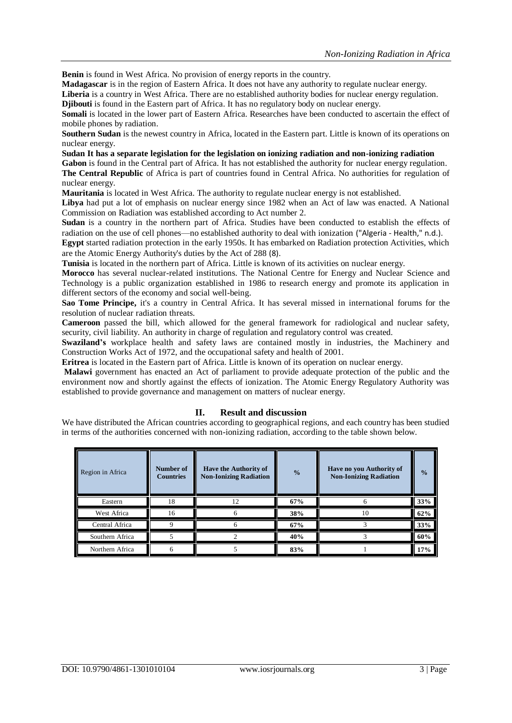**Benin** is found in West Africa. No provision of energy reports in the country.

**Madagascar** is in the region of Eastern Africa. It does not have any authority to regulate nuclear energy.

**Liberia** is a country in West Africa. There are no established authority bodies for nuclear energy regulation. **Djibouti** is found in the Eastern part of Africa. It has no regulatory body on nuclear energy.

**Somali** is located in the lower part of Eastern Africa. Researches have been conducted to ascertain the effect of mobile phones by radiation.

**Southern Sudan** is the newest country in Africa, located in the Eastern part. Little is known of its operations on nuclear energy.

**Sudan It has a separate legislation for the legislation on ionizing radiation and non-ionizing radiation**

**Gabon** is found in the Central part of Africa. It has not established the authority for nuclear energy regulation. **The Central Republic** of Africa is part of countries found in Central Africa. No authorities for regulation of nuclear energy.

**Mauritania** is located in West Africa. The authority to regulate nuclear energy is not established.

**Libya** had put a lot of emphasis on nuclear energy since 1982 when an Act of law was enacted. A National Commission on Radiation was established according to Act number 2.

**Sudan** is a country in the northern part of Africa. Studies have been conducted to establish the effects of radiation on the use of cell phones—no established authority to deal with ionization ("Algeria - Health," n.d.).

**Egypt** started radiation protection in the early 1950s. It has embarked on Radiation protection Activities, which are the Atomic Energy Authority's duties by the Act of 288 (8).

**Tunisia** is located in the northern part of Africa. Little is known of its activities on nuclear energy.

**Morocco** has several nuclear-related institutions. The National Centre for Energy and Nuclear Science and Technology is a public organization established in 1986 to research energy and promote its application in different sectors of the economy and social well-being.

**Sao Tome Principe,** it's a country in Central Africa. It has several missed in international forums for the resolution of nuclear radiation threats.

**Cameroon** passed the bill, which allowed for the general framework for radiological and nuclear safety, security, civil liability. An authority in charge of regulation and regulatory control was created.

**Swaziland's** workplace health and safety laws are contained mostly in industries, the Machinery and Construction Works Act of 1972, and the occupational safety and health of 2001.

**Eritrea** is located in the Eastern part of Africa. Little is known of its operation on nuclear energy.

**Malawi** government has enacted an Act of parliament to provide adequate protection of the public and the environment now and shortly against the effects of ionization. The Atomic Energy Regulatory Authority was established to provide governance and management on matters of nuclear energy.

# **II. Result and discussion**

We have distributed the African countries according to geographical regions, and each country has been studied in terms of the authorities concerned with non-ionizing radiation, according to the table shown below.

| Region in Africa | Number of<br><b>Countries</b> | <b>Have the Authority of</b><br><b>Non-Ionizing Radiation</b> | $\frac{0}{0}$ | Have no you Authority of<br><b>Non-Ionizing Radiation</b> | $\frac{0}{2}$ |
|------------------|-------------------------------|---------------------------------------------------------------|---------------|-----------------------------------------------------------|---------------|
| Eastern          | 18                            | 12                                                            | 67%           |                                                           | 33%           |
| West Africa      | 16                            | n                                                             | 38%           | 10                                                        | 62%           |
| Central Africa   |                               |                                                               | 67%           |                                                           | 33%           |
| Southern Africa  |                               |                                                               | 40%           |                                                           | 60%           |
| Northern Africa  |                               |                                                               | 83%           |                                                           | 17%           |